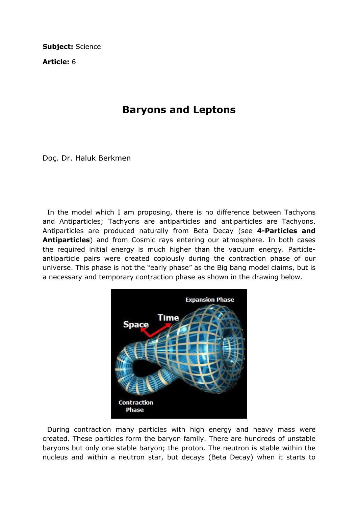Subject: Science

Article: 6

## Baryons and Leptons

Doç. Dr. Haluk Berkmen

 In the model which I am proposing, there is no difference between Tachyons and Antiparticles; Tachyons are antiparticles and antiparticles are Tachyons. Antiparticles are produced naturally from Beta Decay (see 4-Particles and Antiparticles) and from Cosmic rays entering our atmosphere. In both cases the required initial energy is much higher than the vacuum energy. Particleantiparticle pairs were created copiously during the contraction phase of our universe. This phase is not the "early phase" as the Big bang model claims, but is a necessary and temporary contraction phase as shown in the drawing below.



 During contraction many particles with high energy and heavy mass were created. These particles form the baryon family. There are hundreds of unstable baryons but only one stable baryon; the proton. The neutron is stable within the nucleus and within a neutron star, but decays (Beta Decay) when it starts to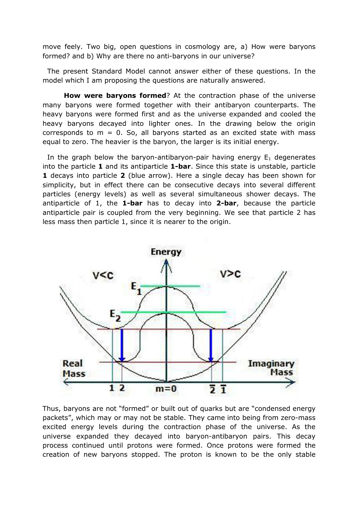move feely. Two big, open questions in cosmology are, a) How were baryons formed? and b) Why are there no anti-baryons in our universe?

 The present Standard Model cannot answer either of these questions. In the model which I am proposing the questions are naturally answered.

How were baryons formed? At the contraction phase of the universe many baryons were formed together with their antibaryon counterparts. The heavy baryons were formed first and as the universe expanded and cooled the heavy baryons decayed into lighter ones. In the drawing below the origin corresponds to  $m = 0$ . So, all baryons started as an excited state with mass equal to zero. The heavier is the baryon, the larger is its initial energy.

In the graph below the baryon-antibaryon-pair having energy  $E_1$  degenerates into the particle 1 and its antiparticle 1-bar. Since this state is unstable, particle 1 decays into particle 2 (blue arrow). Here a single decay has been shown for simplicity, but in effect there can be consecutive decays into several different particles (energy levels) as well as several simultaneous shower decays. The antiparticle of 1, the **1-bar** has to decay into **2-bar**, because the particle antiparticle pair is coupled from the very beginning. We see that particle 2 has less mass then particle 1, since it is nearer to the origin.



Thus, baryons are not "formed" or built out of quarks but are "condensed energy packets", which may or may not be stable. They came into being from zero-mass excited energy levels during the contraction phase of the universe. As the universe expanded they decayed into baryon-antibaryon pairs. This decay process continued until protons were formed. Once protons were formed the creation of new baryons stopped. The proton is known to be the only stable